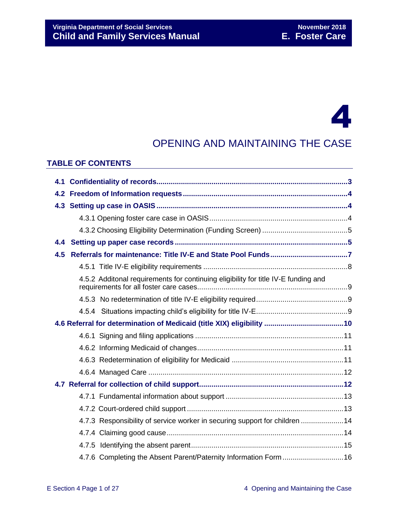# 4

# OPENING AND MAINTAINING THE CASE

#### **TABLE OF CONTENTS**

| 4.5 |                                                                                    |  |
|-----|------------------------------------------------------------------------------------|--|
|     |                                                                                    |  |
|     | 4.5.2 Additonal requirements for continuing eligibility for title IV-E funding and |  |
|     |                                                                                    |  |
|     |                                                                                    |  |
|     |                                                                                    |  |
|     |                                                                                    |  |
|     |                                                                                    |  |
|     |                                                                                    |  |
|     |                                                                                    |  |
|     |                                                                                    |  |
|     |                                                                                    |  |
|     |                                                                                    |  |
|     | 4.7.3 Responsibility of service worker in securing support for children  14        |  |
|     |                                                                                    |  |
|     |                                                                                    |  |
|     | 4.7.6 Completing the Absent Parent/Paternity Information Form 16                   |  |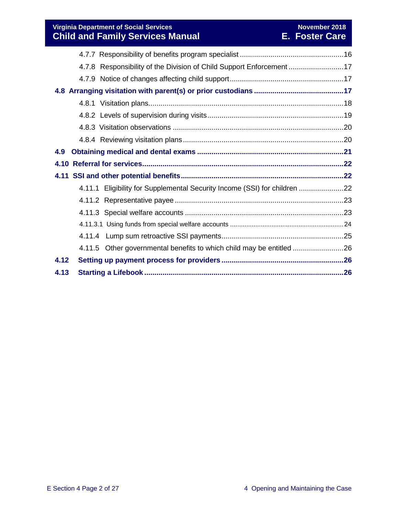**Virginia Department of Social Services November 2018 Child and Family Services Manual E. Foster Care**

|      | 4.7.8 Responsibility of the Division of Child Support Enforcement 17      |  |
|------|---------------------------------------------------------------------------|--|
|      |                                                                           |  |
|      |                                                                           |  |
|      |                                                                           |  |
|      |                                                                           |  |
|      |                                                                           |  |
|      |                                                                           |  |
| 4.9  |                                                                           |  |
|      |                                                                           |  |
|      |                                                                           |  |
|      | 4.11.1 Eligibility for Supplemental Security Income (SSI) for children 22 |  |
|      |                                                                           |  |
|      |                                                                           |  |
|      |                                                                           |  |
|      |                                                                           |  |
|      | 4.11.5 Other governmental benefits to which child may be entitled 26      |  |
| 4.12 |                                                                           |  |
| 4.13 |                                                                           |  |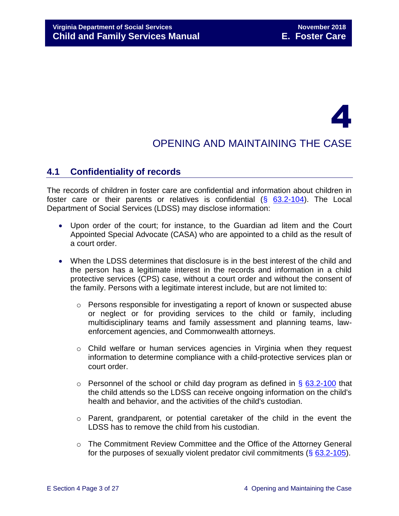# 4

# OPENING AND MAINTAINING THE CASE

# <span id="page-2-0"></span>**4.1 Confidentiality of records**

The records of children in foster care are confidential and information about children in foster care or their parents or relatives is confidential  $(\S$  [63.2-104\)](http://law.lis.virginia.gov/vacode/63.2-104/). The Local Department of Social Services (LDSS) may disclose information:

- Upon order of the court; for instance, to the Guardian ad litem and the Court Appointed Special Advocate (CASA) who are appointed to a child as the result of a court order.
- When the LDSS determines that disclosure is in the best interest of the child and the person has a legitimate interest in the records and information in a child protective services (CPS) case, without a court order and without the consent of the family. Persons with a legitimate interest include, but are not limited to:
	- o Persons responsible for investigating a report of known or suspected abuse or neglect or for providing services to the child or family, including multidisciplinary teams and family assessment and planning teams, lawenforcement agencies, and Commonwealth attorneys.
	- o Child welfare or human services agencies in Virginia when they request information to determine compliance with a child-protective services plan or court order.
	- $\circ$  Personnel of the school or child day program as defined in § [63.2-100](http://law.lis.virginia.gov/vacode/63.2-100/) that the child attends so the LDSS can receive ongoing information on the child's health and behavior, and the activities of the child's custodian.
	- $\circ$  Parent, grandparent, or potential caretaker of the child in the event the LDSS has to remove the child from his custodian.
	- o The Commitment Review Committee and the Office of the Attorney General for the purposes of sexually violent predator civil commitments (§ [63.2-105\)](http://law.lis.virginia.gov/vacode/63.2-105/).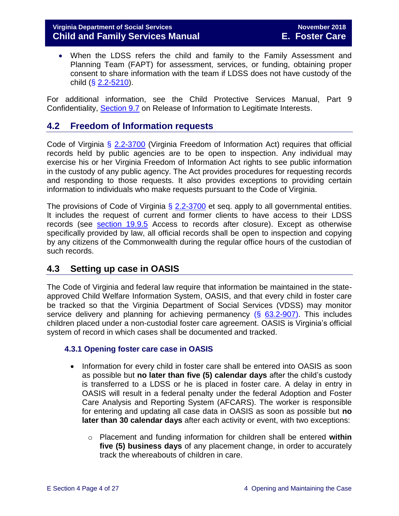#### **Virginia Department of Social Services November 2018 Child and Family Services Manual E. Foster Care**

 When the LDSS refers the child and family to the Family Assessment and Planning Team (FAPT) for assessment, services, or funding, obtaining proper consent to share information with the team if LDSS does not have custody of the child  $(**§** 2.2-5210).$  $(**§** 2.2-5210).$  $(**§** 2.2-5210).$ 

For additional information, see the Child Protective Services Manual, Part 9 Confidentiality, [Section 9.7](http://www.dss.virginia.gov/family/fc/index.cgi#manuals) on Release of Information to Legitimate Interests.

## <span id="page-3-0"></span>**4.2 Freedom of Information requests**

Code of Virginia § [2.2-3700](http://law.lis.virginia.gov/vacode/2.2-3700/) (Virginia Freedom of Information Act) requires that official records held by public agencies are to be open to inspection. Any individual may exercise his or her Virginia Freedom of Information Act rights to see public information in the custody of any public agency. The Act provides procedures for requesting records and responding to those requests. It also provides exceptions to providing certain information to individuals who make requests pursuant to the Code of Virginia.

The provisions of Code of Virginia  $\S$  [2.2-3700](http://law.lis.virginia.gov/vacode/2.2-3700/) et seq. apply to all governmental entities. It includes the request of current and former clients to have access to their LDSS records (see [section 19.9.5](file://///Vaultcelerra.co.dss.state.va.us/Workgroup/Family_Services/DFS%20Child%20and%20Family%20Services%20Manual/E.%20Foster%20Care/Foster%20Care%20June%202017/section_19_closing_a_case_to_foster_care.draft.docx) Access to records after closure). Except as otherwise specifically provided by law, all official records shall be open to inspection and copying by any citizens of the Commonwealth during the regular office hours of the custodian of such records.

### <span id="page-3-1"></span>**4.3 Setting up case in OASIS**

The Code of Virginia and federal law require that information be maintained in the stateapproved Child Welfare Information System, OASIS, and that every child in foster care be tracked so that the Virginia Department of Social Services (VDSS) may monitor service delivery and planning for achieving permanency  $(\S$  [63.2-907\)](http://law.lis.virginia.gov/vacode/63.2-907/). This includes children placed under a non-custodial foster care agreement. OASIS is Virginia's official system of record in which cases shall be documented and tracked.

#### <span id="page-3-2"></span>**4.3.1 Opening foster care case in OASIS**

- Information for every child in foster care shall be entered into OASIS as soon as possible but **no later than five (5) calendar days** after the child's custody is transferred to a LDSS or he is placed in foster care. A delay in entry in OASIS will result in a federal penalty under the federal Adoption and Foster Care Analysis and Reporting System (AFCARS). The worker is responsible for entering and updating all case data in OASIS as soon as possible but **no later than 30 calendar days** after each activity or event, with two exceptions:
	- o Placement and funding information for children shall be entered **within five (5) business days** of any placement change, in order to accurately track the whereabouts of children in care.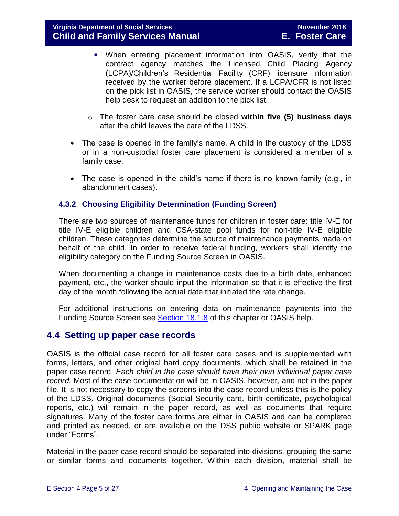- When entering placement information into OASIS, verify that the contract agency matches the Licensed Child Placing Agency (LCPA)/Children's Residential Facility (CRF) licensure information received by the worker before placement. If a LCPA/CFR is not listed on the pick list in OASIS, the service worker should contact the OASIS help desk to request an addition to the pick list.
- o The foster care case should be closed **within five (5) business days**  after the child leaves the care of the LDSS.
- The case is opened in the family's name. A child in the custody of the LDSS or in a non-custodial foster care placement is considered a member of a family case.
- The case is opened in the child's name if there is no known family (e.g., in abandonment cases).

#### <span id="page-4-0"></span>**4.3.2 Choosing Eligibility Determination (Funding Screen)**

There are two sources of maintenance funds for children in foster care: title IV-E for title IV-E eligible children and CSA-state pool funds for non-title IV-E eligible children. These categories determine the source of maintenance payments made on behalf of the child. In order to receive federal funding, workers shall identify the eligibility category on the Funding Source Screen in OASIS.

When documenting a change in maintenance costs due to a birth date, enhanced payment, etc., the worker should input the information so that it is effective the first day of the month following the actual date that initiated the rate change.

For additional instructions on entering data on maintenance payments into the Funding Source Screen see **Section 18.1.8** of this chapter or OASIS help.

# <span id="page-4-1"></span>**4.4 Setting up paper case records**

OASIS is the official case record for all foster care cases and is supplemented with forms, letters, and other original hard copy documents, which shall be retained in the paper case record. *Each child in the case should have their own individual paper case record.* Most of the case documentation will be in OASIS, however, and not in the paper file. It is not necessary to copy the screens into the case record unless this is the policy of the LDSS. Original documents (Social Security card, birth certificate, psychological reports, etc.) will remain in the paper record, as well as documents that require signatures. Many of the foster care forms are either in OASIS and can be completed and printed as needed, or are available on the DSS public website or SPARK page under "Forms".

Material in the paper case record should be separated into divisions, grouping the same or similar forms and documents together. Within each division, material shall be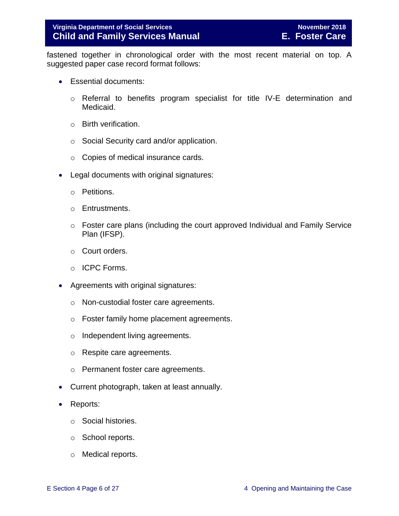fastened together in chronological order with the most recent material on top. A suggested paper case record format follows:

- Essential documents:
	- o Referral to benefits program specialist for title IV-E determination and Medicaid.
	- o Birth verification.
	- o Social Security card and/or application.
	- o Copies of medical insurance cards.
- Legal documents with original signatures:
	- o Petitions.
	- o Entrustments.
	- o Foster care plans (including the court approved Individual and Family Service Plan (IFSP).
	- o Court orders.
	- o ICPC Forms.
- Agreements with original signatures:
	- o Non-custodial foster care agreements.
	- o Foster family home placement agreements.
	- o Independent living agreements.
	- o Respite care agreements.
	- o Permanent foster care agreements.
- Current photograph, taken at least annually.
- Reports:
	- o Social histories.
	- o School reports.
	- o Medical reports.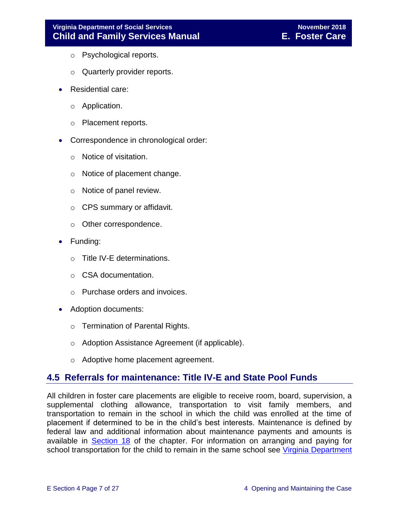- o Psychological reports.
- o Quarterly provider reports.
- Residential care:
	- o Application.
	- o Placement reports.
- Correspondence in chronological order:
	- o Notice of visitation.
	- o Notice of placement change.
	- o Notice of panel review.
	- o CPS summary or affidavit.
	- o Other correspondence.
- Funding:
	- o Title IV-E determinations.
	- o CSA documentation.
	- o Purchase orders and invoices.
- Adoption documents:
	- o Termination of Parental Rights.
	- o Adoption Assistance Agreement (if applicable).
	- o Adoptive home placement agreement.

# <span id="page-6-0"></span>**4.5 Referrals for maintenance: Title IV-E and State Pool Funds**

All children in foster care placements are eligible to receive room, board, supervision, a supplemental clothing allowance, transportation to visit family members, and transportation to remain in the school in which the child was enrolled at the time of placement if determined to be in the child's best interests. Maintenance is defined by federal law and additional information about maintenance payments and amounts is available in [Section 18](file://///Vaultcelerra.co.dss.state.va.us/Workgroup/Family_Services/DFS%20Child%20and%20Family%20Services%20Manual/E.%20Foster%20Care/Foster%20Care%20June%202017/section_18_funding_maintenance_costs.draft.docx) of the chapter. For information on arranging and paying for school transportation for the child to remain in the same school see Virginia Department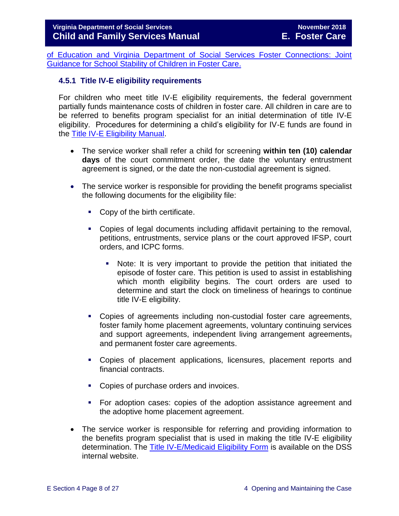[of Education and Virginia Department of Social Services Foster Connections: Joint](http://spark.dss.virginia.gov/divisions/dfs/fc/guidance.cgi)  [Guidance for School Stability of Children in Foster Care.](http://spark.dss.virginia.gov/divisions/dfs/fc/guidance.cgi)

#### <span id="page-7-0"></span>**4.5.1 Title IV-E eligibility requirements**

For children who meet title IV-E eligibility requirements, the federal government partially funds maintenance costs of children in foster care. All children in care are to be referred to benefits program specialist for an initial determination of title IV-E eligibility. Procedures for determining a child's eligibility for IV-E funds are found in the [Title IV-E Eligibility Manual.](http://spark.dss.virginia.gov/divisions/dfs/iv_e/index.cgi#manual)

- The service worker shall refer a child for screening **within ten (10) calendar days** of the court commitment order, the date the voluntary entrustment agreement is signed, or the date the non-custodial agreement is signed.
- The service worker is responsible for providing the benefit programs specialist the following documents for the eligibility file:
	- Copy of the birth certificate.
	- Copies of legal documents including affidavit pertaining to the removal, petitions, entrustments, service plans or the court approved IFSP, court orders, and ICPC forms.
		- Note: It is very important to provide the petition that initiated the episode of foster care. This petition is used to assist in establishing which month eligibility begins. The court orders are used to determine and start the clock on timeliness of hearings to continue title IV-E eligibility.
	- Copies of agreements including non-custodial foster care agreements, foster family home placement agreements, voluntary continuing services and support agreements, independent living arrangement agreements, and permanent foster care agreements.
	- Copies of placement applications, licensures, placement reports and financial contracts.
	- Copies of purchase orders and invoices.
	- For adoption cases: copies of the adoption assistance agreement and the adoptive home placement agreement.
- The service worker is responsible for referring and providing information to the benefits program specialist that is used in making the title IV-E eligibility determination. The [Title IV-E/Medicaid Eligibility Form](http://spark.dss.virginia.gov/divisions/dfs/iv_e/) is available on the DSS internal website.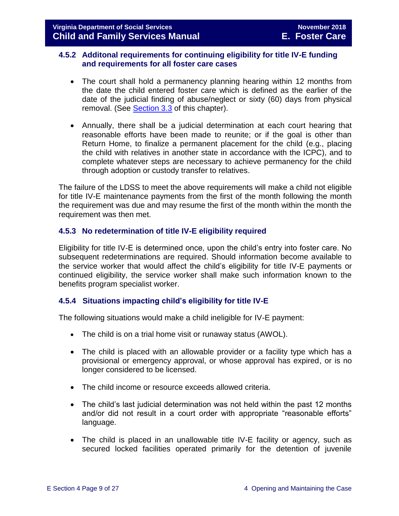#### <span id="page-8-0"></span>**4.5.2 Additonal requirements for continuing eligibility for title IV-E funding and requirements for all foster care cases**

- The court shall hold a permanency planning hearing within 12 months from the date the child entered foster care which is defined as the earlier of the date of the judicial finding of abuse/neglect or sixty (60) days from physical removal. (See [Section 3.3](file://///Vaultcelerra.co.dss.state.va.us/Workgroup/Family_Services/DFS%20Child%20and%20Family%20Services%20Manual/E.%20Foster%20Care/Foster%20Care%20June%202017/section_3_entering_foster_care%20draft.2.docx) of this chapter).
- Annually, there shall be a judicial determination at each court hearing that reasonable efforts have been made to reunite; or if the goal is other than Return Home, to finalize a permanent placement for the child (e.g., placing the child with relatives in another state in accordance with the ICPC), and to complete whatever steps are necessary to achieve permanency for the child through adoption or custody transfer to relatives.

The failure of the LDSS to meet the above requirements will make a child not eligible for title IV-E maintenance payments from the first of the month following the month the requirement was due and may resume the first of the month within the month the requirement was then met.

#### <span id="page-8-1"></span>**4.5.3 No redetermination of title IV-E eligibility required**

Eligibility for title IV-E is determined once, upon the child's entry into foster care. No subsequent redeterminations are required. Should information become available to the service worker that would affect the child's eligibility for title IV-E payments or continued eligibility, the service worker shall make such information known to the benefits program specialist worker.

#### <span id="page-8-2"></span>**4.5.4 Situations impacting child's eligibility for title IV-E**

The following situations would make a child ineligible for IV-E payment:

- The child is on a trial home visit or runaway status (AWOL).
- The child is placed with an allowable provider or a facility type which has a provisional or emergency approval, or whose approval has expired, or is no longer considered to be licensed.
- The child income or resource exceeds allowed criteria.
- The child's last judicial determination was not held within the past 12 months and/or did not result in a court order with appropriate "reasonable efforts" language.
- The child is placed in an unallowable title IV-E facility or agency, such as secured locked facilities operated primarily for the detention of juvenile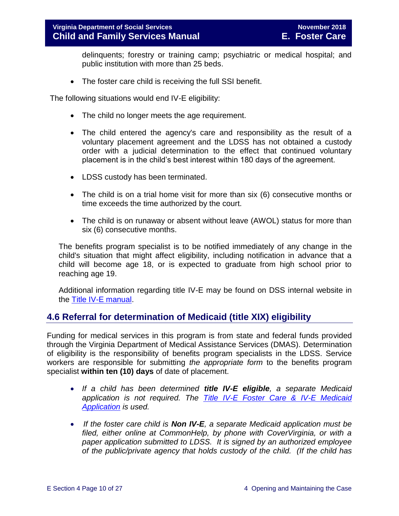delinquents; forestry or training camp; psychiatric or medical hospital; and public institution with more than 25 beds.

• The foster care child is receiving the full SSI benefit.

The following situations would end IV-E eligibility:

- The child no longer meets the age requirement.
- The child entered the agency's care and responsibility as the result of a voluntary placement agreement and the LDSS has not obtained a custody order with a judicial determination to the effect that continued voluntary placement is in the child's best interest within 180 days of the agreement.
- LDSS custody has been terminated.
- The child is on a trial home visit for more than six (6) consecutive months or time exceeds the time authorized by the court.
- The child is on runaway or absent without leave (AWOL) status for more than six (6) consecutive months.

The benefits program specialist is to be notified immediately of any change in the child's situation that might affect eligibility, including notification in advance that a child will become age 18, or is expected to graduate from high school prior to reaching age 19.

Additional information regarding title IV-E may be found on DSS internal website in the [Title IV-E manual.](http://spark.dss.virginia.gov/divisions/dfs/iv_e/)

# <span id="page-9-0"></span>**4.6 Referral for determination of Medicaid (title XIX) eligibility**

Funding for medical services in this program is from state and federal funds provided through the Virginia Department of Medical Assistance Services (DMAS). Determination of eligibility is the responsibility of benefits program specialists in the LDSS. Service workers are responsible for submitting *the appropriate form* to the benefits program specialist **within ten (10) days** of date of placement.

- *If a child has been determined title IV-E eligible, a separate Medicaid application is not required. The [Title IV-E Foster Care & IV-E Medicaid](http://spark.dss.virginia.gov/divisions/dfs/iv_e/)  [Application](http://spark.dss.virginia.gov/divisions/dfs/iv_e/) is used.*
- *If the foster care child is Non IV-E, a separate Medicaid application must be filed, either online at CommonHelp, by phone with CoverVirginia, or with a paper application submitted to LDSS. It is signed by an authorized employee of the public/private agency that holds custody of the child. (If the child has*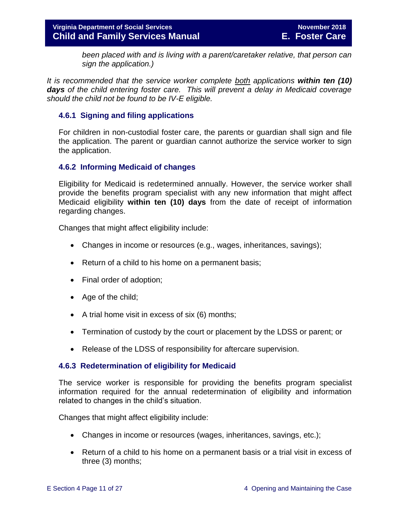*been placed with and is living with a parent/caretaker relative, that person can sign the application.)* 

*It is recommended that the service worker complete both applications within ten (10) days of the child entering foster care. This will prevent a delay in Medicaid coverage should the child not be found to be IV-E eligible.* 

#### <span id="page-10-0"></span>**4.6.1 Signing and filing applications**

For children in non-custodial foster care, the parents or guardian shall sign and file the application. The parent or guardian cannot authorize the service worker to sign the application.

#### <span id="page-10-1"></span>**4.6.2 Informing Medicaid of changes**

Eligibility for Medicaid is redetermined annually. However, the service worker shall provide the benefits program specialist with any new information that might affect Medicaid eligibility **within ten (10) days** from the date of receipt of information regarding changes.

Changes that might affect eligibility include:

- Changes in income or resources (e.g., wages, inheritances, savings);
- Return of a child to his home on a permanent basis;
- Final order of adoption;
- Age of the child;
- $\bullet$  A trial home visit in excess of six (6) months;
- Termination of custody by the court or placement by the LDSS or parent; or
- Release of the LDSS of responsibility for aftercare supervision.

#### <span id="page-10-2"></span>**4.6.3 Redetermination of eligibility for Medicaid**

The service worker is responsible for providing the benefits program specialist information required for the annual redetermination of eligibility and information related to changes in the child's situation.

Changes that might affect eligibility include:

- Changes in income or resources (wages, inheritances, savings, etc.);
- Return of a child to his home on a permanent basis or a trial visit in excess of three (3) months;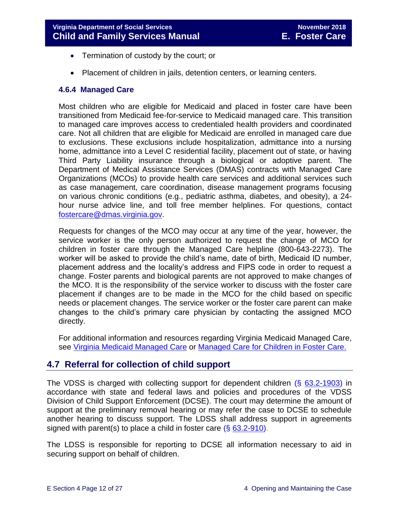- Termination of custody by the court; or
- Placement of children in jails, detention centers, or learning centers.

#### <span id="page-11-0"></span>**4.6.4 Managed Care**

Most children who are eligible for Medicaid and placed in foster care have been transitioned from Medicaid fee-for-service to Medicaid managed care. This transition to managed care improves access to credentialed health providers and coordinated care. Not all children that are eligible for Medicaid are enrolled in managed care due to exclusions. These exclusions include hospitalization, admittance into a nursing home, admittance into a Level C residential facility, placement out of state, or having Third Party Liability insurance through a biological or adoptive parent. The Department of Medical Assistance Services (DMAS) contracts with Managed Care Organizations (MCOs) to provide health care services and additional services such as case management, care coordination, disease management programs focusing on various chronic conditions (e.g., pediatric asthma, diabetes, and obesity), a 24 hour nurse advice line, and toll free member helplines. For questions, contact [fostercare@dmas.virginia.gov.](mailto:fostercare@dmas.virginia.gov)

Requests for changes of the MCO may occur at any time of the year, however, the service worker is the only person authorized to request the change of MCO for children in foster care through the Managed Care helpline (800-643-2273). The worker will be asked to provide the child's name, date of birth, Medicaid ID number, placement address and the locality's address and FIPS code in order to request a change. Foster parents and biological parents are not approved to make changes of the MCO. It is the responsibility of the service worker to discuss with the foster care placement if changes are to be made in the MCO for the child based on specific needs or placement changes. The service worker or the foster care parent can make changes to the child's primary care physician by contacting the assigned MCO directly.

For additional information and resources regarding Virginia Medicaid Managed Care, see [Virginia Medicaid Managed Care](http://www.virginiamanagedcare.com/) or Managed Care [for Children in Foster Care.](http://www.dmas.virginia.gov/Content_pgs/ialtc-plt.aspx)

# <span id="page-11-1"></span>**4.7 Referral for collection of child support**

The VDSS is charged with collecting support for dependent children (§ [63.2-1903\)](http://law.lis.virginia.gov/vacode/63.2-1903/) in accordance with state and federal laws and policies and procedures of the VDSS Division of Child Support Enforcement (DCSE). The court may determine the amount of support at the preliminary removal hearing or may refer the case to DCSE to schedule another hearing to discuss support. The LDSS shall address support in agreements signed with parent(s) to place a child in foster care (§ [63.2-910\)](http://law.lis.virginia.gov/vacode/63.2-910/).

The LDSS is responsible for reporting to DCSE all information necessary to aid in securing support on behalf of children.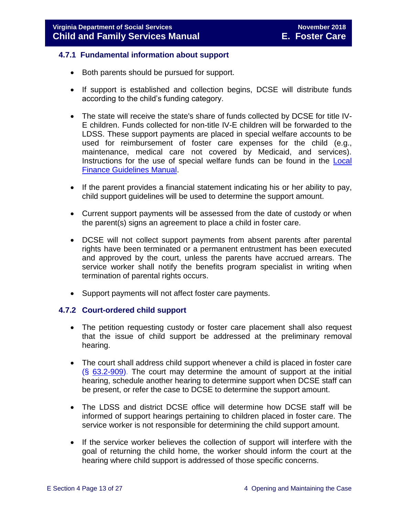#### <span id="page-12-0"></span>**4.7.1 Fundamental information about support**

- Both parents should be pursued for support.
- If support is established and collection begins, DCSE will distribute funds according to the child's funding category.
- The state will receive the state's share of funds collected by DCSE for title IV-E children. Funds collected for non-title IV-E children will be forwarded to the LDSS. These support payments are placed in special welfare accounts to be used for reimbursement of foster care expenses for the child (e.g., maintenance, medical care not covered by Medicaid, and services). Instructions for the use of special welfare funds can be found in the **Local** [Finance Guidelines Manual.](http://spark.dss.virginia.gov/divisions/dof/local_support/manual/)
- If the parent provides a financial statement indicating his or her ability to pay, child support guidelines will be used to determine the support amount.
- Current support payments will be assessed from the date of custody or when the parent(s) signs an agreement to place a child in foster care.
- DCSE will not collect support payments from absent parents after parental rights have been terminated or a permanent entrustment has been executed and approved by the court, unless the parents have accrued arrears. The service worker shall notify the benefits program specialist in writing when termination of parental rights occurs.
- Support payments will not affect foster care payments.

#### <span id="page-12-1"></span>**4.7.2 Court-ordered child support**

- The petition requesting custody or foster care placement shall also request that the issue of child support be addressed at the preliminary removal hearing.
- The court shall address child support whenever a child is placed in foster care  $(S$  [63.2-909\)](http://law.lis.virginia.gov/vacode/63.2-909/). The court may determine the amount of support at the initial hearing, schedule another hearing to determine support when DCSE staff can be present, or refer the case to DCSE to determine the support amount.
- The LDSS and district DCSE office will determine how DCSE staff will be informed of support hearings pertaining to children placed in foster care. The service worker is not responsible for determining the child support amount.
- If the service worker believes the collection of support will interfere with the goal of returning the child home, the worker should inform the court at the hearing where child support is addressed of those specific concerns.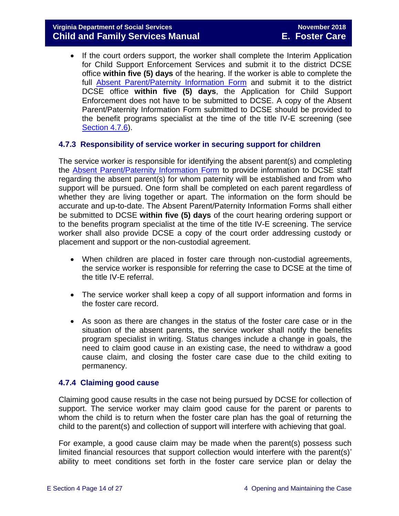• If the court orders support, the worker shall complete the Interim Application for Child Support Enforcement Services and submit it to the district DCSE office **within five (5) days** of the hearing. If the worker is able to complete the full [Absent Parent/Paternity Information Form](http://spark.dss.virginia.gov/divisions/bp/tanf/forms/index.cgi) and submit it to the district DCSE office **within five (5) days**, the Application for Child Support Enforcement does not have to be submitted to DCSE. A copy of the Absent Parent/Paternity Information Form submitted to DCSE should be provided to the benefit programs specialist at the time of the title IV-E screening (see [Section 4.7.6\)](#page-15-0).

#### <span id="page-13-0"></span>**4.7.3 Responsibility of service worker in securing support for children**

The service worker is responsible for identifying the absent parent(s) and completing the [Absent Parent/Paternity Information Form](http://spark.dss.virginia.gov/divisions/bp/tanf/forms/index.cgi) to provide information to DCSE staff regarding the absent parent(s) for whom paternity will be established and from who support will be pursued. One form shall be completed on each parent regardless of whether they are living together or apart. The information on the form should be accurate and up-to-date. The Absent Parent/Paternity Information Forms shall either be submitted to DCSE **within five (5) days** of the court hearing ordering support or to the benefits program specialist at the time of the title IV-E screening. The service worker shall also provide DCSE a copy of the court order addressing custody or placement and support or the non-custodial agreement.

- When children are placed in foster care through non-custodial agreements, the service worker is responsible for referring the case to DCSE at the time of the title IV-E referral.
- The service worker shall keep a copy of all support information and forms in the foster care record.
- As soon as there are changes in the status of the foster care case or in the situation of the absent parents, the service worker shall notify the benefits program specialist in writing. Status changes include a change in goals, the need to claim good cause in an existing case, the need to withdraw a good cause claim, and closing the foster care case due to the child exiting to permanency.

#### <span id="page-13-1"></span>**4.7.4 Claiming good cause**

Claiming good cause results in the case not being pursued by DCSE for collection of support. The service worker may claim good cause for the parent or parents to whom the child is to return when the foster care plan has the goal of returning the child to the parent(s) and collection of support will interfere with achieving that goal.

For example, a good cause claim may be made when the parent(s) possess such limited financial resources that support collection would interfere with the parent(s)' ability to meet conditions set forth in the foster care service plan or delay the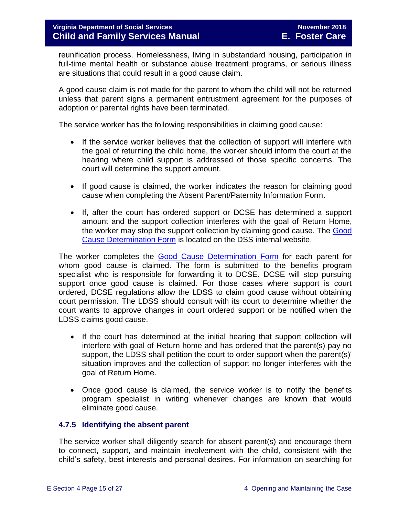reunification process. Homelessness, living in substandard housing, participation in full-time mental health or substance abuse treatment programs, or serious illness are situations that could result in a good cause claim.

A good cause claim is not made for the parent to whom the child will not be returned unless that parent signs a permanent entrustment agreement for the purposes of adoption or parental rights have been terminated.

The service worker has the following responsibilities in claiming good cause:

- If the service worker believes that the collection of support will interfere with the goal of returning the child home, the worker should inform the court at the hearing where child support is addressed of those specific concerns. The court will determine the support amount.
- If good cause is claimed, the worker indicates the reason for claiming good cause when completing the Absent Parent/Paternity Information Form.
- If, after the court has ordered support or DCSE has determined a support amount and the support collection interferes with the goal of Return Home, the worker may stop the support collection by claiming good cause. The [Good](http://spark.dss.virginia.gov/divisions/dfs/fc/forms.cgi)  [Cause Determination Form](http://spark.dss.virginia.gov/divisions/dfs/fc/forms.cgi) is located on the DSS internal website.

The worker completes the [Good Cause Determination Form](http://spark.dss.virginia.gov/divisions/dfs/fc/forms.cgi) for each parent for whom good cause is claimed. The form is submitted to the benefits program specialist who is responsible for forwarding it to DCSE. DCSE will stop pursuing support once good cause is claimed. For those cases where support is court ordered, DCSE regulations allow the LDSS to claim good cause without obtaining court permission. The LDSS should consult with its court to determine whether the court wants to approve changes in court ordered support or be notified when the LDSS claims good cause.

- If the court has determined at the initial hearing that support collection will interfere with goal of Return home and has ordered that the parent(s) pay no support, the LDSS shall petition the court to order support when the parent(s)' situation improves and the collection of support no longer interferes with the goal of Return Home.
- Once good cause is claimed, the service worker is to notify the benefits program specialist in writing whenever changes are known that would eliminate good cause.

#### <span id="page-14-0"></span>**4.7.5 Identifying the absent parent**

The service worker shall diligently search for absent parent(s) and encourage them to connect, support, and maintain involvement with the child, consistent with the child's safety, best interests and personal desires. For information on searching for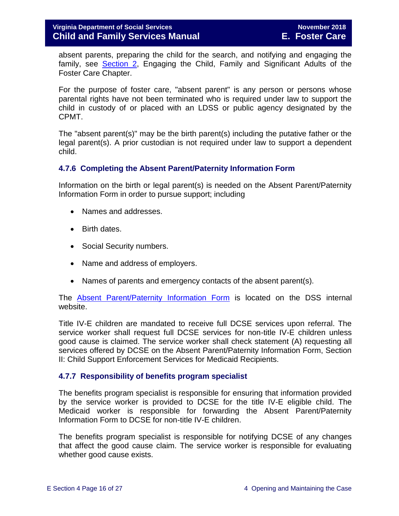absent parents, preparing the child for the search, and notifying and engaging the family, see **Section 2**, Engaging the Child, Family and Significant Adults of the Foster Care Chapter.

For the purpose of foster care, "absent parent" is any person or persons whose parental rights have not been terminated who is required under law to support the child in custody of or placed with an LDSS or public agency designated by the CPMT.

The "absent parent(s)" may be the birth parent(s) including the putative father or the legal parent(s). A prior custodian is not required under law to support a dependent child.

#### <span id="page-15-0"></span>**4.7.6 Completing the Absent Parent/Paternity Information Form**

Information on the birth or legal parent(s) is needed on the Absent Parent/Paternity Information Form in order to pursue support; including

- Names and addresses.
- Birth dates.
- Social Security numbers.
- Name and address of employers.
- Names of parents and emergency contacts of the absent parent(s).

The [Absent Parent/Paternity Information Form](http://spark.dss.virginia.gov/divisions/bp/tanf/forms/index.cgi) is located on the DSS internal website.

Title IV-E children are mandated to receive full DCSE services upon referral. The service worker shall request full DCSE services for non-title IV-E children unless good cause is claimed. The service worker shall check statement (A) requesting all services offered by DCSE on the Absent Parent/Paternity Information Form, Section II: Child Support Enforcement Services for Medicaid Recipients.

#### <span id="page-15-1"></span>**4.7.7 Responsibility of benefits program specialist**

The benefits program specialist is responsible for ensuring that information provided by the service worker is provided to DCSE for the title IV-E eligible child. The Medicaid worker is responsible for forwarding the Absent Parent/Paternity Information Form to DCSE for non-title IV-E children.

The benefits program specialist is responsible for notifying DCSE of any changes that affect the good cause claim. The service worker is responsible for evaluating whether good cause exists.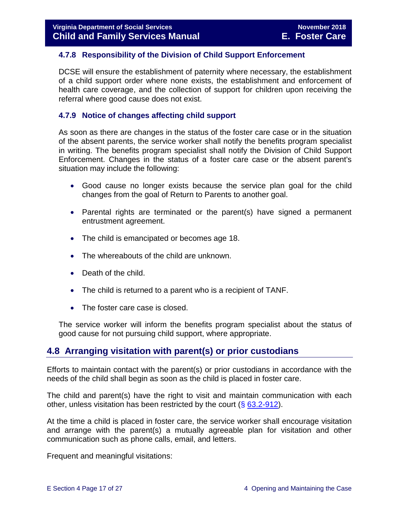#### <span id="page-16-0"></span>**4.7.8 Responsibility of the Division of Child Support Enforcement**

DCSE will ensure the establishment of paternity where necessary, the establishment of a child support order where none exists, the establishment and enforcement of health care coverage, and the collection of support for children upon receiving the referral where good cause does not exist.

#### <span id="page-16-1"></span>**4.7.9 Notice of changes affecting child support**

As soon as there are changes in the status of the foster care case or in the situation of the absent parents, the service worker shall notify the benefits program specialist in writing. The benefits program specialist shall notify the Division of Child Support Enforcement. Changes in the status of a foster care case or the absent parent's situation may include the following:

- Good cause no longer exists because the service plan goal for the child changes from the goal of Return to Parents to another goal.
- Parental rights are terminated or the parent(s) have signed a permanent entrustment agreement.
- The child is emancipated or becomes age 18.
- The whereabouts of the child are unknown.
- Death of the child.
- The child is returned to a parent who is a recipient of TANF.
- The foster care case is closed.

The service worker will inform the benefits program specialist about the status of good cause for not pursuing child support, where appropriate.

# <span id="page-16-2"></span>**4.8 Arranging visitation with parent(s) or prior custodians**

Efforts to maintain contact with the parent(s) or prior custodians in accordance with the needs of the child shall begin as soon as the child is placed in foster care.

The child and parent(s) have the right to visit and maintain communication with each other, unless visitation has been restricted by the court  $(\S$  [63.2-912\)](http://law.lis.virginia.gov/vacode/63.2-912/).

At the time a child is placed in foster care, the service worker shall encourage visitation and arrange with the parent(s) a mutually agreeable plan for visitation and other communication such as phone calls, email, and letters.

Frequent and meaningful visitations: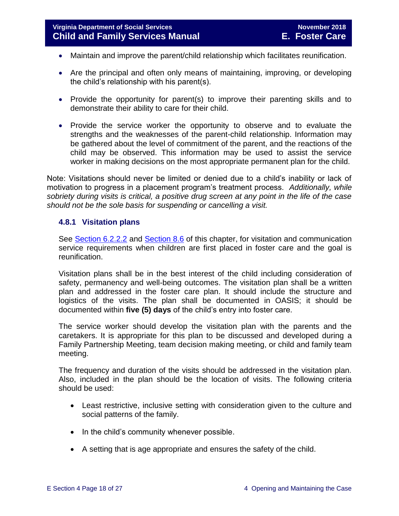- Maintain and improve the parent/child relationship which facilitates reunification.
- Are the principal and often only means of maintaining, improving, or developing the child's relationship with his parent(s).
- Provide the opportunity for parent(s) to improve their parenting skills and to demonstrate their ability to care for their child.
- Provide the service worker the opportunity to observe and to evaluate the strengths and the weaknesses of the parent-child relationship. Information may be gathered about the level of commitment of the parent, and the reactions of the child may be observed. This information may be used to assist the service worker in making decisions on the most appropriate permanent plan for the child.

Note: Visitations should never be limited or denied due to a child's inability or lack of motivation to progress in a placement program's treatment process. *Additionally, while sobriety during visits is critical, a positive drug screen at any point in the life of the case should not be the sole basis for suspending or cancelling a visit.* 

#### <span id="page-17-0"></span>**4.8.1 Visitation plans**

See [Section 6.2.2.2](file://///Vaultcelerra.co.dss.state.va.us/Workgroup/Family_Services/DFS%20Child%20and%20Family%20Services%20Manual/E.%20Foster%20Care/Foster%20Care%20June%202017/section_6_placement_to_achieve_permanency.draft.docx) and [Section 8.6](file://///Vaultcelerra.co.dss.state.va.us/Workgroup/Family_Services/DFS%20Child%20and%20Family%20Services%20Manual/E.%20Foster%20Care/Foster%20Care%20June%202017/section_8_achieving_permanency_goal_return_home.docx) of this chapter, for visitation and communication service requirements when children are first placed in foster care and the goal is reunification.

Visitation plans shall be in the best interest of the child including consideration of safety, permanency and well-being outcomes. The visitation plan shall be a written plan and addressed in the foster care plan. It should include the structure and logistics of the visits. The plan shall be documented in OASIS; it should be documented within **five (5) days** of the child's entry into foster care.

The service worker should develop the visitation plan with the parents and the caretakers. It is appropriate for this plan to be discussed and developed during a Family Partnership Meeting, team decision making meeting, or child and family team meeting.

The frequency and duration of the visits should be addressed in the visitation plan. Also, included in the plan should be the location of visits. The following criteria should be used:

- Least restrictive, inclusive setting with consideration given to the culture and social patterns of the family.
- In the child's community whenever possible.
- A setting that is age appropriate and ensures the safety of the child.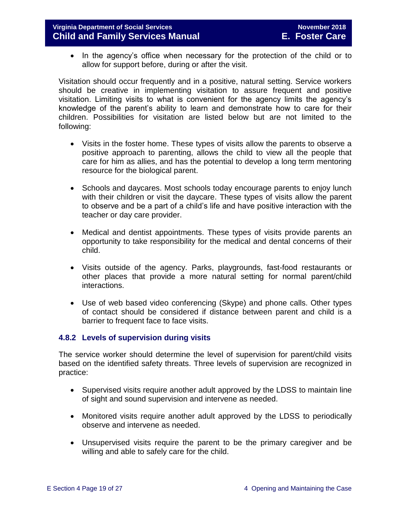• In the agency's office when necessary for the protection of the child or to allow for support before, during or after the visit.

Visitation should occur frequently and in a positive, natural setting. Service workers should be creative in implementing visitation to assure frequent and positive visitation. Limiting visits to what is convenient for the agency limits the agency's knowledge of the parent's ability to learn and demonstrate how to care for their children. Possibilities for visitation are listed below but are not limited to the following:

- Visits in the foster home. These types of visits allow the parents to observe a positive approach to parenting, allows the child to view all the people that care for him as allies, and has the potential to develop a long term mentoring resource for the biological parent.
- Schools and daycares. Most schools today encourage parents to enjoy lunch with their children or visit the daycare. These types of visits allow the parent to observe and be a part of a child's life and have positive interaction with the teacher or day care provider.
- Medical and dentist appointments. These types of visits provide parents an opportunity to take responsibility for the medical and dental concerns of their child.
- Visits outside of the agency. Parks, playgrounds, fast-food restaurants or other places that provide a more natural setting for normal parent/child interactions.
- Use of web based video conferencing (Skype) and phone calls. Other types of contact should be considered if distance between parent and child is a barrier to frequent face to face visits.

#### <span id="page-18-0"></span>**4.8.2 Levels of supervision during visits**

The service worker should determine the level of supervision for parent/child visits based on the identified safety threats. Three levels of supervision are recognized in practice:

- Supervised visits require another adult approved by the LDSS to maintain line of sight and sound supervision and intervene as needed.
- Monitored visits require another adult approved by the LDSS to periodically observe and intervene as needed.
- Unsupervised visits require the parent to be the primary caregiver and be willing and able to safely care for the child.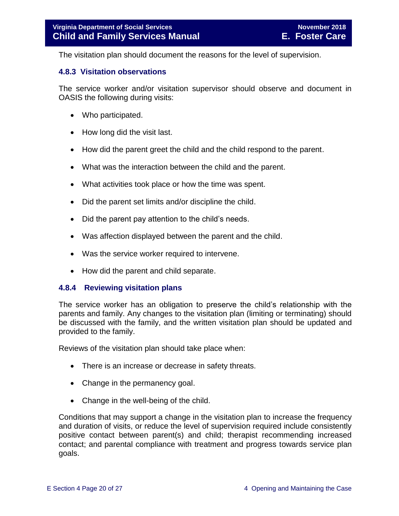The visitation plan should document the reasons for the level of supervision.

#### <span id="page-19-0"></span>**4.8.3 Visitation observations**

The service worker and/or visitation supervisor should observe and document in OASIS the following during visits:

- Who participated.
- How long did the visit last.
- How did the parent greet the child and the child respond to the parent.
- What was the interaction between the child and the parent.
- What activities took place or how the time was spent.
- Did the parent set limits and/or discipline the child.
- Did the parent pay attention to the child's needs.
- Was affection displayed between the parent and the child.
- Was the service worker required to intervene.
- <span id="page-19-1"></span>• How did the parent and child separate.

#### **4.8.4 Reviewing visitation plans**

The service worker has an obligation to preserve the child's relationship with the parents and family. Any changes to the visitation plan (limiting or terminating) should be discussed with the family, and the written visitation plan should be updated and provided to the family.

Reviews of the visitation plan should take place when:

- There is an increase or decrease in safety threats.
- Change in the permanency goal.
- Change in the well-being of the child.

Conditions that may support a change in the visitation plan to increase the frequency and duration of visits, or reduce the level of supervision required include consistently positive contact between parent(s) and child; therapist recommending increased contact; and parental compliance with treatment and progress towards service plan goals.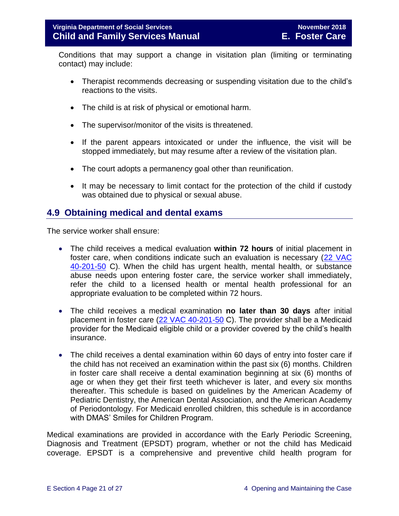Conditions that may support a change in visitation plan (limiting or terminating contact) may include:

- Therapist recommends decreasing or suspending visitation due to the child's reactions to the visits.
- The child is at risk of physical or emotional harm.
- The supervisor/monitor of the visits is threatened.
- If the parent appears intoxicated or under the influence, the visit will be stopped immediately, but may resume after a review of the visitation plan.
- The court adopts a permanency goal other than reunification.
- It may be necessary to limit contact for the protection of the child if custody was obtained due to physical or sexual abuse.

# <span id="page-20-0"></span>**4.9 Obtaining medical and dental exams**

The service worker shall ensure:

- The child receives a medical evaluation **within 72 hours** of initial placement in foster care, when conditions indicate such an evaluation is necessary [\(22 VAC](http://leg1.state.va.us/cgi-bin/legp504.exe?000+reg+22VAC40-201-50)  [40-201-50](http://leg1.state.va.us/cgi-bin/legp504.exe?000+reg+22VAC40-201-50) C). When the child has urgent health, mental health, or substance abuse needs upon entering foster care, the service worker shall immediately, refer the child to a licensed health or mental health professional for an appropriate evaluation to be completed within 72 hours.
- The child receives a medical examination **no later than 30 days** after initial placement in foster care [\(22 VAC 40-201-50](http://leg1.state.va.us/cgi-bin/legp504.exe?000+reg+22VAC40-201-50) C). The provider shall be a Medicaid provider for the Medicaid eligible child or a provider covered by the child's health insurance.
- The child receives a dental examination within 60 days of entry into foster care if the child has not received an examination within the past six (6) months. Children in foster care shall receive a dental examination beginning at six (6) months of age or when they get their first teeth whichever is later, and every six months thereafter. This schedule is based on guidelines by the American Academy of Pediatric Dentistry, the American Dental Association, and the American Academy of Periodontology. For Medicaid enrolled children, this schedule is in accordance with DMAS' Smiles for Children Program.

Medical examinations are provided in accordance with the Early Periodic Screening, Diagnosis and Treatment (EPSDT) program, whether or not the child has Medicaid coverage. EPSDT is a comprehensive and preventive child health program for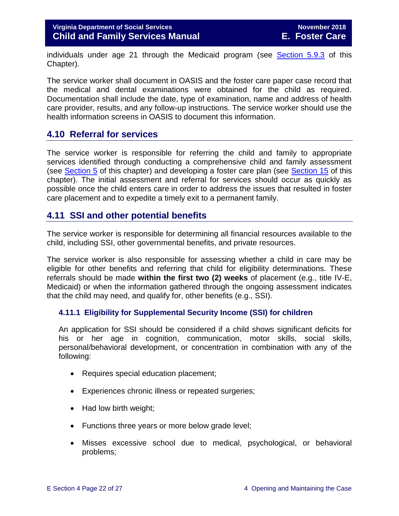individuals under age 21 through the Medicaid program (see [Section 5.9.3](file://///Vaultcelerra.co.dss.state.va.us/Workgroup/Family_Services/DFS%20Child%20and%20Family%20Services%20Manual/E.%20Foster%20Care/Foster%20Care%20June%202017/section_5_conducting_child_and_family_assessment.docx) of this Chapter).

The service worker shall document in OASIS and the foster care paper case record that the medical and dental examinations were obtained for the child as required. Documentation shall include the date, type of examination, name and address of health care provider, results, and any follow-up instructions. The service worker should use the health information screens in OASIS to document this information.

# <span id="page-21-0"></span>**4.10 Referral for services**

The service worker is responsible for referring the child and family to appropriate services identified through conducting a comprehensive child and family assessment (see [Section 5](file://///Vaultcelerra.co.dss.state.va.us/Workgroup/Family_Services/DFS%20Child%20and%20Family%20Services%20Manual/E.%20Foster%20Care/Foster%20Care%20June%202017/section_5_conducting_child_and_family_assessment.docx) of this chapter) and developing a foster care plan (see [Section 15](file://///Vaultcelerra.co.dss.state.va.us/Workgroup/Family_Services/DFS%20Child%20and%20Family%20Services%20Manual/E.%20Foster%20Care/Foster%20Care%20June%202017/section_15_developing_service_plan.draft.docx) of this chapter). The initial assessment and referral for services should occur as quickly as possible once the child enters care in order to address the issues that resulted in foster care placement and to expedite a timely exit to a permanent family.

## <span id="page-21-1"></span>**4.11 SSI and other potential benefits**

The service worker is responsible for determining all financial resources available to the child, including SSI, other governmental benefits, and private resources.

The service worker is also responsible for assessing whether a child in care may be eligible for other benefits and referring that child for eligibility determinations. These referrals should be made **within the first two (2) weeks** of placement (e.g., title IV-E, Medicaid) or when the information gathered through the ongoing assessment indicates that the child may need, and qualify for, other benefits (e.g., SSI).

#### <span id="page-21-2"></span>**4.11.1 Eligibility for Supplemental Security Income (SSI) for children**

An application for SSI should be considered if a child shows significant deficits for his or her age in cognition, communication, motor skills, social skills, personal/behavioral development, or concentration in combination with any of the following:

- Requires special education placement;
- Experiences chronic illness or repeated surgeries;
- Had low birth weight;
- Functions three years or more below grade level;
- Misses excessive school due to medical, psychological, or behavioral problems;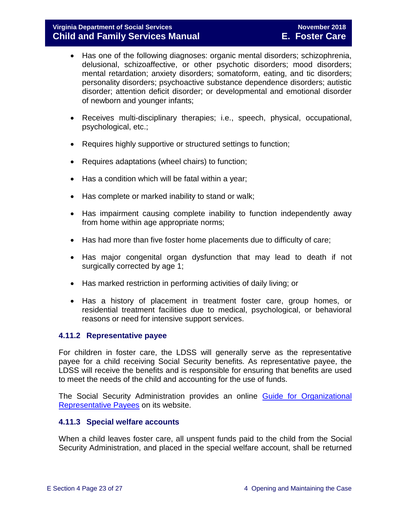- Has one of the following diagnoses: organic mental disorders; schizophrenia, delusional, schizoaffective, or other psychotic disorders; mood disorders; mental retardation; anxiety disorders; somatoform, eating, and tic disorders; personality disorders; psychoactive substance dependence disorders; autistic disorder; attention deficit disorder; or developmental and emotional disorder of newborn and younger infants;
- Receives multi-disciplinary therapies; i.e., speech, physical, occupational, psychological, etc.;
- Requires highly supportive or structured settings to function;
- Requires adaptations (wheel chairs) to function;
- Has a condition which will be fatal within a year;
- Has complete or marked inability to stand or walk;
- Has impairment causing complete inability to function independently away from home within age appropriate norms;
- Has had more than five foster home placements due to difficulty of care;
- Has major congenital organ dysfunction that may lead to death if not surgically corrected by age 1;
- Has marked restriction in performing activities of daily living; or
- Has a history of placement in treatment foster care, group homes, or residential treatment facilities due to medical, psychological, or behavioral reasons or need for intensive support services.

#### <span id="page-22-0"></span>**4.11.2 Representative payee**

For children in foster care, the LDSS will generally serve as the representative payee for a child receiving Social Security benefits. As representative payee, the LDSS will receive the benefits and is responsible for ensuring that benefits are used to meet the needs of the child and accounting for the use of funds.

The Social Security Administration provides an online Guide for Organizational [Representative Payees](https://www.ssa.gov/payee/NewGuide/toc.htm) on its website.

#### <span id="page-22-1"></span>**4.11.3 Special welfare accounts**

When a child leaves foster care, all unspent funds paid to the child from the Social Security Administration, and placed in the special welfare account, shall be returned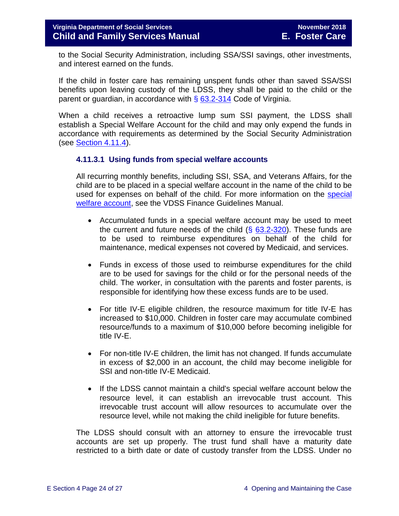to the Social Security Administration, including SSA/SSI savings, other investments, and interest earned on the funds.

If the child in foster care has remaining unspent funds other than saved SSA/SSI benefits upon leaving custody of the LDSS, they shall be paid to the child or the parent or guardian, in accordance with  $\S$  [63.2-314](http://law.lis.virginia.gov/vacode/63.2-314/) Code of Virginia.

When a child receives a retroactive lump sum SSI payment, the LDSS shall establish a Special Welfare Account for the child and may only expend the funds in accordance with requirements as determined by the Social Security Administration (see [Section](file://///Vaultcelerra.co.dss.state.va.us/Workgroup/Family_Services/DFS%20Child%20and%20Family%20Services%20Manual/E.%20Foster%20Care/Foster%20Care%20June%202017/section_4_opening_and_maintaining_case.docx) 4.11.4).

#### <span id="page-23-0"></span>**4.11.3.1 Using funds from special welfare accounts**

All recurring monthly benefits, including SSI, SSA, and Veterans Affairs, for the child are to be placed in a special welfare account in the name of the child to be used for expenses on behalf of the child. For more information on the [special](http://localagency.dss.state.va.us/divisions/dof/files/local_support/finance_guidelines_manual/by_section/reimbursement/section_3.50_-_special_welfare.pdf)  [welfare account,](http://localagency.dss.state.va.us/divisions/dof/files/local_support/finance_guidelines_manual/by_section/reimbursement/section_3.50_-_special_welfare.pdf) see the VDSS Finance Guidelines Manual.

- Accumulated funds in a special welfare account may be used to meet the current and future needs of the child  $(§ 63.2-320)$  $(§ 63.2-320)$ . These funds are to be used to reimburse expenditures on behalf of the child for maintenance, medical expenses not covered by Medicaid, and services.
- Funds in excess of those used to reimburse expenditures for the child are to be used for savings for the child or for the personal needs of the child. The worker, in consultation with the parents and foster parents, is responsible for identifying how these excess funds are to be used.
- For title IV-E eligible children, the resource maximum for title IV-E has increased to \$10,000. Children in foster care may accumulate combined resource/funds to a maximum of \$10,000 before becoming ineligible for title IV-E.
- For non-title IV-E children, the limit has not changed. If funds accumulate in excess of \$2,000 in an account, the child may become ineligible for SSI and non-title IV-E Medicaid.
- If the LDSS cannot maintain a child's special welfare account below the resource level, it can establish an irrevocable trust account. This irrevocable trust account will allow resources to accumulate over the resource level, while not making the child ineligible for future benefits.

The LDSS should consult with an attorney to ensure the irrevocable trust accounts are set up properly. The trust fund shall have a maturity date restricted to a birth date or date of custody transfer from the LDSS. Under no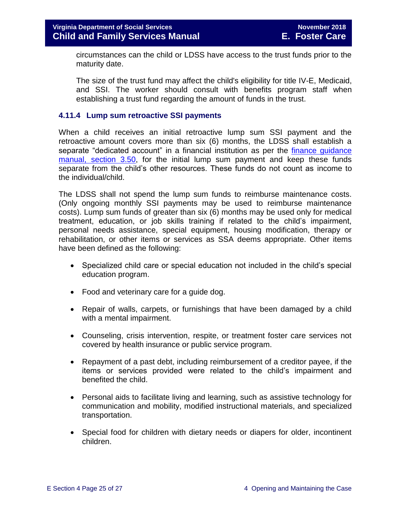circumstances can the child or LDSS have access to the trust funds prior to the maturity date.

The size of the trust fund may affect the child's eligibility for title IV-E, Medicaid, and SSI. The worker should consult with benefits program staff when establishing a trust fund regarding the amount of funds in the trust.

#### <span id="page-24-0"></span>**4.11.4 Lump sum retroactive SSI payments**

When a child receives an initial retroactive lump sum SSI payment and the retroactive amount covers more than six (6) months, the LDSS shall establish a separate "dedicated account" in a financial institution as per the finance guidance [manual, section 3.50,](http://spark.dss.virginia.gov/divisions/dof/files/local_support/finance_guidelines_manual/by_section/reimbursement/section_3.50_-_special_welfare.pdf) for the initial lump sum payment and keep these funds separate from the child's other resources. These funds do not count as income to the individual/child.

The LDSS shall not spend the lump sum funds to reimburse maintenance costs. (Only ongoing monthly SSI payments may be used to reimburse maintenance costs). Lump sum funds of greater than six (6) months may be used only for medical treatment, education, or job skills training if related to the child's impairment, personal needs assistance, special equipment, housing modification, therapy or rehabilitation, or other items or services as SSA deems appropriate. Other items have been defined as the following:

- Specialized child care or special education not included in the child's special education program.
- Food and veterinary care for a quide dog.
- Repair of walls, carpets, or furnishings that have been damaged by a child with a mental impairment.
- Counseling, crisis intervention, respite, or treatment foster care services not covered by health insurance or public service program.
- Repayment of a past debt, including reimbursement of a creditor payee, if the items or services provided were related to the child's impairment and benefited the child.
- Personal aids to facilitate living and learning, such as assistive technology for communication and mobility, modified instructional materials, and specialized transportation.
- Special food for children with dietary needs or diapers for older, incontinent children.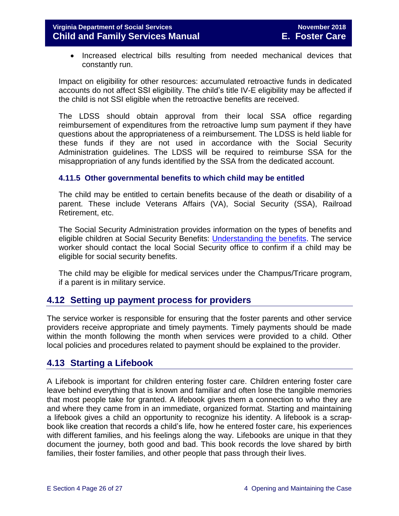• Increased electrical bills resulting from needed mechanical devices that constantly run.

Impact on eligibility for other resources: accumulated retroactive funds in dedicated accounts do not affect SSI eligibility. The child's title IV-E eligibility may be affected if the child is not SSI eligible when the retroactive benefits are received.

The LDSS should obtain approval from their local SSA office regarding reimbursement of expenditures from the retroactive lump sum payment if they have questions about the appropriateness of a reimbursement. The LDSS is held liable for these funds if they are not used in accordance with the Social Security Administration guidelines. The LDSS will be required to reimburse SSA for the misappropriation of any funds identified by the SSA from the dedicated account.

#### <span id="page-25-0"></span>**4.11.5 Other governmental benefits to which child may be entitled**

The child may be entitled to certain benefits because of the death or disability of a parent. These include Veterans Affairs (VA), Social Security (SSA), Railroad Retirement, etc.

The Social Security Administration provides information on the types of benefits and eligible children at Social Security Benefits: [Understanding the benefits.](https://www.ssa.gov/pubs/EN-05-10024.pdf) The service worker should contact the local Social Security office to confirm if a child may be eligible for social security benefits.

The child may be eligible for medical services under the Champus/Tricare program, if a parent is in military service.

# <span id="page-25-1"></span>**4.12 Setting up payment process for providers**

The service worker is responsible for ensuring that the foster parents and other service providers receive appropriate and timely payments. Timely payments should be made within the month following the month when services were provided to a child. Other local policies and procedures related to payment should be explained to the provider.

# <span id="page-25-2"></span>**4.13 Starting a Lifebook**

A Lifebook is important for children entering foster care. Children entering foster care leave behind everything that is known and familiar and often lose the tangible memories that most people take for granted. A lifebook gives them a connection to who they are and where they came from in an immediate, organized format. Starting and maintaining a lifebook gives a child an opportunity to recognize his identity. A lifebook is a scrapbook like creation that records a child's life, how he entered foster care, his experiences with different families, and his feelings along the way. Lifebooks are unique in that they document the journey, both good and bad. This book records the love shared by birth families, their foster families, and other people that pass through their lives.